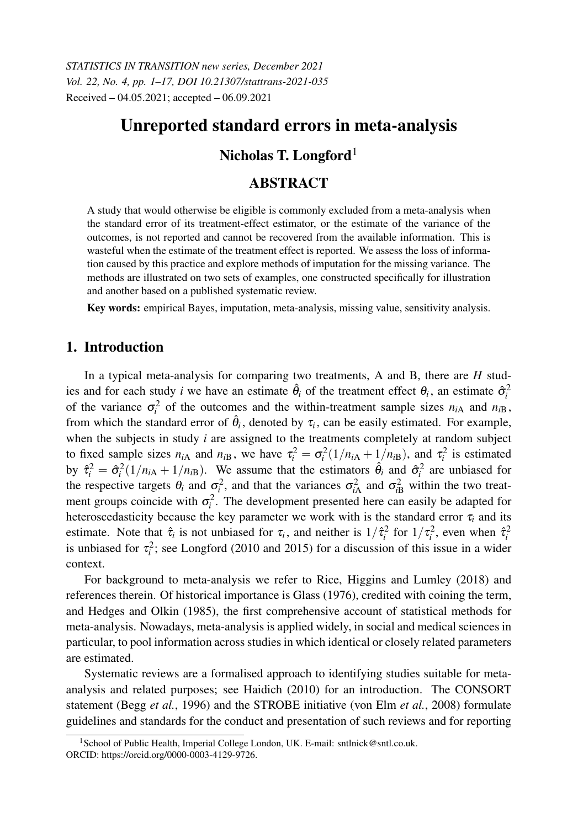*STATISTICS IN TRANSITION new series, December 2021 Vol. 22, No. 4, pp. 1–17, DOI 10.21307/stattrans-2021-035* Received – 04.05.2021; accepted – 06.09.2021

# Unreported standard errors in meta-analysis

# Nicholas T. Longford<sup>1</sup>

# ABSTRACT

A study that would otherwise be eligible is commonly excluded from a meta-analysis when the standard error of its treatment-effect estimator, or the estimate of the variance of the outcomes, is not reported and cannot be recovered from the available information. This is wasteful when the estimate of the treatment effect is reported. We assess the loss of information caused by this practice and explore methods of imputation for the missing variance. The methods are illustrated on two sets of examples, one constructed specifically for illustration and another based on a published systematic review.

Key words: empirical Bayes, imputation, meta-analysis, missing value, sensitivity analysis.

### 1. Introduction

In a typical meta-analysis for comparing two treatments, A and B, there are *H* studies and for each study *i* we have an estimate  $\hat{\theta}_i$  of the treatment effect  $\theta_i$ , an estimate  $\hat{\sigma}_i^2$ of the variance  $\sigma_i^2$  of the outcomes and the within-treatment sample sizes  $n_{iA}$  and  $n_{iB}$ , from which the standard error of  $\hat{\theta}_i$ , denoted by  $\tau_i$ , can be easily estimated. For example, when the subjects in study *i* are assigned to the treatments completely at random subject to fixed sample sizes  $n_{iA}$  and  $n_{iB}$ , we have  $\tau_i^2 = \sigma_i^2(1/n_{iA} + 1/n_{iB})$ , and  $\tau_i^2$  is estimated by  $\hat{\tau}_i^2 = \hat{\sigma}_i^2(1/n_{iA} + 1/n_{iB})$ . We assume that the estimators  $\hat{\theta}_i$  and  $\hat{\sigma}_i^2$  are unbiased for the respective targets  $\theta_i$  and  $\sigma_i^2$ , and that the variances  $\sigma_{iA}^2$  and  $\sigma_{iB}^2$  within the two treatment groups coincide with  $\sigma_i^2$ . The development presented here can easily be adapted for heteroscedasticity because the key parameter we work with is the standard error  $\tau$ <sub>*i*</sub> and its estimate. Note that  $\hat{\tau}_i$  is not unbiased for  $\tau_i$ , and neither is  $1/\hat{\tau}_i^2$  for  $1/\tau_i^2$ , even when  $\hat{\tau}_i^2$ is unbiased for  $\tau_i^2$ ; see Longford (2010 and 2015) for a discussion of this issue in a wider context.

For background to meta-analysis we refer to Rice, Higgins and Lumley (2018) and references therein. Of historical importance is Glass (1976), credited with coining the term, and Hedges and Olkin (1985), the first comprehensive account of statistical methods for meta-analysis. Nowadays, meta-analysis is applied widely, in social and medical sciences in particular, to pool information across studies in which identical or closely related parameters are estimated.

Systematic reviews are a formalised approach to identifying studies suitable for metaanalysis and related purposes; see Haidich (2010) for an introduction. The CONSORT statement (Begg *et al.*, 1996) and the STROBE initiative (von Elm *et al.*, 2008) formulate guidelines and standards for the conduct and presentation of such reviews and for reporting

<sup>&</sup>lt;sup>1</sup> School of Public Health, Imperial College London, UK. E-mail: sntlnick@sntl.co.uk. ORCID: https://orcid.org/0000-0003-4129-9726.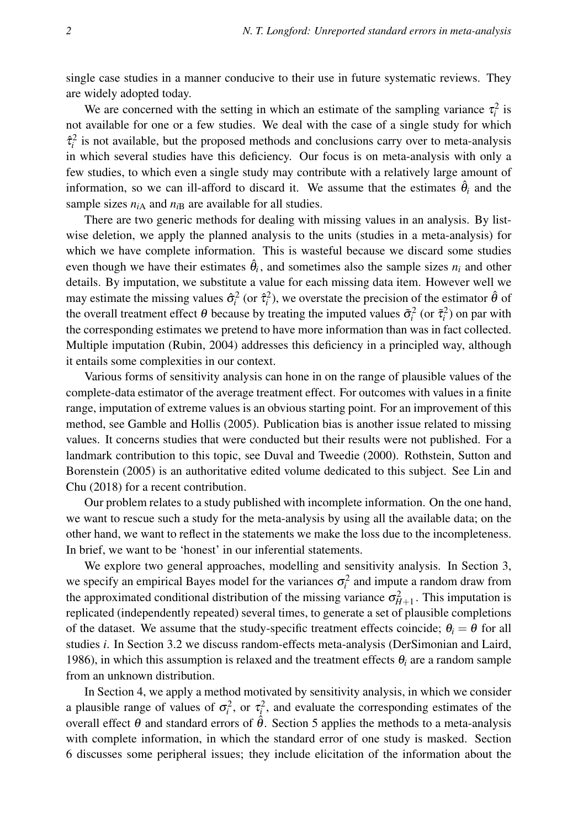single case studies in a manner conducive to their use in future systematic reviews. They are widely adopted today.

We are concerned with the setting in which an estimate of the sampling variance  $\tau_i^2$  is not available for one or a few studies. We deal with the case of a single study for which  $\hat{\tau}_i^2$  is not available, but the proposed methods and conclusions carry over to meta-analysis in which several studies have this deficiency. Our focus is on meta-analysis with only a few studies, to which even a single study may contribute with a relatively large amount of information, so we can ill-afford to discard it. We assume that the estimates  $\hat{\theta}_i$  and the sample sizes  $n_{iA}$  and  $n_{iB}$  are available for all studies.

There are two generic methods for dealing with missing values in an analysis. By listwise deletion, we apply the planned analysis to the units (studies in a meta-analysis) for which we have complete information. This is wasteful because we discard some studies even though we have their estimates  $\hat{\theta}_i$ , and sometimes also the sample sizes  $n_i$  and other details. By imputation, we substitute a value for each missing data item. However well we may estimate the missing values  $\hat{\sigma}_i^2$  (or  $\hat{\tau}_i^2$ ), we overstate the precision of the estimator  $\hat{\theta}$  of the overall treatment effect  $\theta$  because by treating the imputed values  $\tilde{\sigma}_i^2$  (or  $\tilde{\tau}_i^2$ ) on par with the corresponding estimates we pretend to have more information than was in fact collected. Multiple imputation (Rubin, 2004) addresses this deficiency in a principled way, although it entails some complexities in our context.

Various forms of sensitivity analysis can hone in on the range of plausible values of the complete-data estimator of the average treatment effect. For outcomes with values in a finite range, imputation of extreme values is an obvious starting point. For an improvement of this method, see Gamble and Hollis (2005). Publication bias is another issue related to missing values. It concerns studies that were conducted but their results were not published. For a landmark contribution to this topic, see Duval and Tweedie (2000). Rothstein, Sutton and Borenstein (2005) is an authoritative edited volume dedicated to this subject. See Lin and Chu (2018) for a recent contribution.

Our problem relates to a study published with incomplete information. On the one hand, we want to rescue such a study for the meta-analysis by using all the available data; on the other hand, we want to reflect in the statements we make the loss due to the incompleteness. In brief, we want to be 'honest' in our inferential statements.

We explore two general approaches, modelling and sensitivity analysis. In Section 3, we specify an empirical Bayes model for the variances  $\sigma_i^2$  and impute a random draw from the approximated conditional distribution of the missing variance  $\sigma_{H+1}^2$ . This imputation is replicated (independently repeated) several times, to generate a set of plausible completions of the dataset. We assume that the study-specific treatment effects coincide;  $\theta_i = \theta$  for all studies *i*. In Section 3.2 we discuss random-effects meta-analysis (DerSimonian and Laird, 1986), in which this assumption is relaxed and the treatment effects θ*<sup>i</sup>* are a random sample from an unknown distribution.

In Section 4, we apply a method motivated by sensitivity analysis, in which we consider a plausible range of values of  $\sigma_i^2$ , or  $\tau_i^2$ , and evaluate the corresponding estimates of the overall effect θ and standard errors of  $\hat{\theta}$ . Section 5 applies the methods to a meta-analysis with complete information, in which the standard error of one study is masked. Section 6 discusses some peripheral issues; they include elicitation of the information about the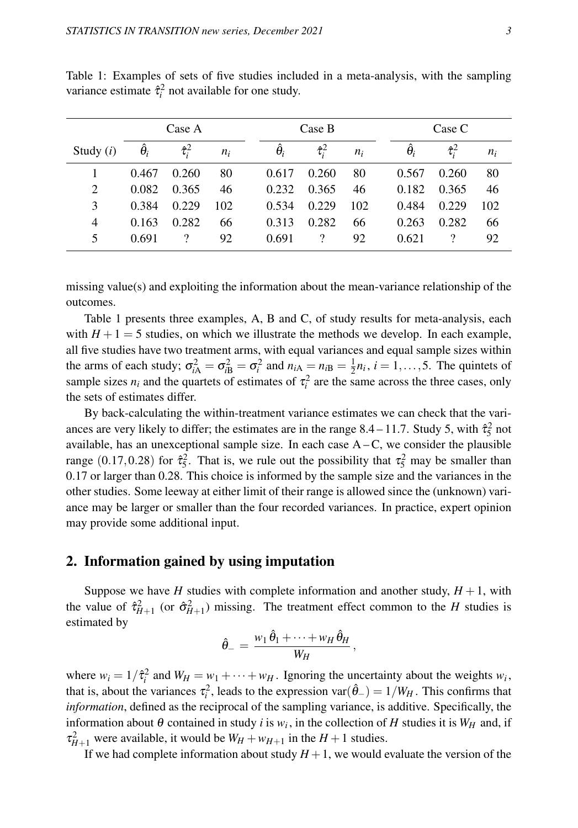|             | Case A     |                      |       | Case B            |                |       |  | Case C           |                |       |
|-------------|------------|----------------------|-------|-------------------|----------------|-------|--|------------------|----------------|-------|
| Study $(i)$ | $\theta_i$ | $\hat{\tau}_{i}^{2}$ | $n_i$ | $\ddot{\theta_i}$ | $\hat{\tau}^2$ | $n_i$ |  | $\hat{\theta}_i$ | $\hat{\tau}^2$ | $n_i$ |
|             | 0.467      | 0.260                | 80    | 0.617             | 0.260          | 80    |  | 0.567            | 0.260          | 80    |
| 2           | 0.082      | 0.365                | 46    | 0.232             | 0.365          | 46    |  | 0.182            | 0.365          | 46    |
| 3           | 0.384      | 0.229                | 102   | 0.534             | 0.229          | 102   |  | 0.484            | 0.229          | 102   |
| 4           | 0.163      | 0.282                | 66    | 0.313             | 0.282          | 66    |  | 0.263            | 0.282          | 66    |
| 5           | 0.691      |                      | 92    | 0.691             |                | 92    |  | 0.621            |                | 92    |

Table 1: Examples of sets of five studies included in a meta-analysis, with the sampling variance estimate  $\hat{\tau}_i^2$  not available for one study.

missing value(s) and exploiting the information about the mean-variance relationship of the outcomes.

Table 1 presents three examples, A, B and C, of study results for meta-analysis, each with  $H + 1 = 5$  studies, on which we illustrate the methods we develop. In each example, all five studies have two treatment arms, with equal variances and equal sample sizes within the arms of each study;  $\sigma_{iA}^2 = \sigma_{iB}^2 = \sigma_i^2$  and  $n_{iA} = n_{iB} = \frac{1}{2}n_i$ ,  $i = 1, ..., 5$ . The quintets of sample sizes  $n_i$  and the quartets of estimates of  $\tau_i^2$  are the same across the three cases, only the sets of estimates differ.

By back-calculating the within-treatment variance estimates we can check that the variances are very likely to differ; the estimates are in the range 8.4 – 11.7. Study 5, with  $\hat{\tau}_5^2$  not available, has an unexceptional sample size. In each case  $A - C$ , we consider the plausible range (0.17,0.28) for  $\hat{\tau}_5^2$ . That is, we rule out the possibility that  $\tau_5^2$  may be smaller than 0.17 or larger than 0.28. This choice is informed by the sample size and the variances in the other studies. Some leeway at either limit of their range is allowed since the (unknown) variance may be larger or smaller than the four recorded variances. In practice, expert opinion may provide some additional input.

## 2. Information gained by using imputation

Suppose we have *H* studies with complete information and another study,  $H + 1$ , with the value of  $\hat{\tau}_{H+1}^2$  (or  $\hat{\sigma}_{H+1}^2$ ) missing. The treatment effect common to the *H* studies is estimated by

$$
\hat{\theta}_- = \frac{w_1 \,\hat{\theta}_1 + \dots + w_H \,\hat{\theta}_H}{W_H} \,,
$$

where  $w_i = 1/\hat{\tau}_i^2$  and  $W_H = w_1 + \cdots + w_H$ . Ignoring the uncertainty about the weights  $w_i$ , that is, about the variances  $\tau_i^2$ , leads to the expression var $(\hat{\theta}_-) = 1/W_H$ . This confirms that *information*, defined as the reciprocal of the sampling variance, is additive. Specifically, the information about  $\theta$  contained in study *i* is  $w_i$ , in the collection of *H* studies it is  $W_H$  and, if  $\tau_{H+1}^2$  were available, it would be  $W_H + w_{H+1}$  in the  $H+1$  studies.

If we had complete information about study  $H + 1$ , we would evaluate the version of the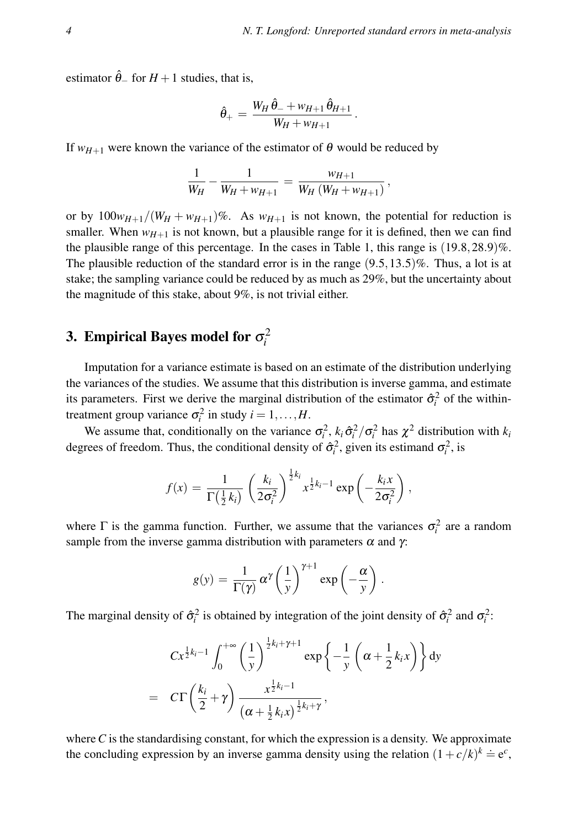estimator  $\hat{\theta}$  for *H* + 1 studies, that is,

$$
\hat{\theta}_+ = \frac{W_H \, \hat{\theta}_- + w_{H+1} \, \hat{\theta}_{H+1}}{W_H + w_{H+1}}.
$$

If  $w_{H+1}$  were known the variance of the estimator of  $\theta$  would be reduced by

$$
\frac{1}{W_H} - \frac{1}{W_H + w_{H+1}} = \frac{w_{H+1}}{W_H (W_H + w_{H+1})},
$$

or by  $100w_{H+1}/(W_H + w_{H+1})\%$ . As  $w_{H+1}$  is not known, the potential for reduction is smaller. When  $w_{H+1}$  is not known, but a plausible range for it is defined, then we can find the plausible range of this percentage. In the cases in Table 1, this range is  $(19.8, 28.9)\%$ . The plausible reduction of the standard error is in the range  $(9.5,13.5)\%$ . Thus, a lot is at stake; the sampling variance could be reduced by as much as 29%, but the uncertainty about the magnitude of this stake, about 9%, is not trivial either.

# 3. Empirical Bayes model for  $\sigma_i^2$

Imputation for a variance estimate is based on an estimate of the distribution underlying the variances of the studies. We assume that this distribution is inverse gamma, and estimate its parameters. First we derive the marginal distribution of the estimator  $\hat{\sigma}_i^2$  of the withintreatment group variance  $\sigma_i^2$  in study  $i = 1, ..., H$ .

We assume that, conditionally on the variance  $\sigma_i^2$ ,  $k_i \hat{\sigma}_i^2 / \sigma_i^2$  has  $\chi^2$  distribution with  $k_i$ degrees of freedom. Thus, the conditional density of  $\hat{\sigma}_i^2$ , given its estimand  $\sigma_i^2$ , is

$$
f(x) = \frac{1}{\Gamma(\frac{1}{2}k_i)} \left(\frac{k_i}{2\sigma_i^2}\right)^{\frac{1}{2}k_i} x^{\frac{1}{2}k_i-1} \exp\left(-\frac{k_i x}{2\sigma_i^2}\right),
$$

where  $\Gamma$  is the gamma function. Further, we assume that the variances  $\sigma_i^2$  are a random sample from the inverse gamma distribution with parameters  $\alpha$  and  $\gamma$ :

$$
g(y) = \frac{1}{\Gamma(\gamma)} \alpha^{\gamma} \left(\frac{1}{y}\right)^{\gamma+1} \exp\left(-\frac{\alpha}{y}\right).
$$

The marginal density of  $\hat{\sigma}_i^2$  is obtained by integration of the joint density of  $\hat{\sigma}_i^2$  and  $\sigma_i^2$ :

$$
Cx^{\frac{1}{2}k_i-1}\int_0^{+\infty}\left(\frac{1}{y}\right)^{\frac{1}{2}k_i+\gamma+1}\exp\left\{-\frac{1}{y}\left(\alpha+\frac{1}{2}k_ix\right)\right\}dy
$$

$$
= C\Gamma\left(\frac{k_i}{2}+\gamma\right)\frac{x^{\frac{1}{2}k_i-1}}{\left(\alpha+\frac{1}{2}k_ix\right)^{\frac{1}{2}k_i+\gamma}},
$$

where *C* is the standardising constant, for which the expression is a density. We approximate the concluding expression by an inverse gamma density using the relation  $(1+c/k)^k \doteq e^c$ ,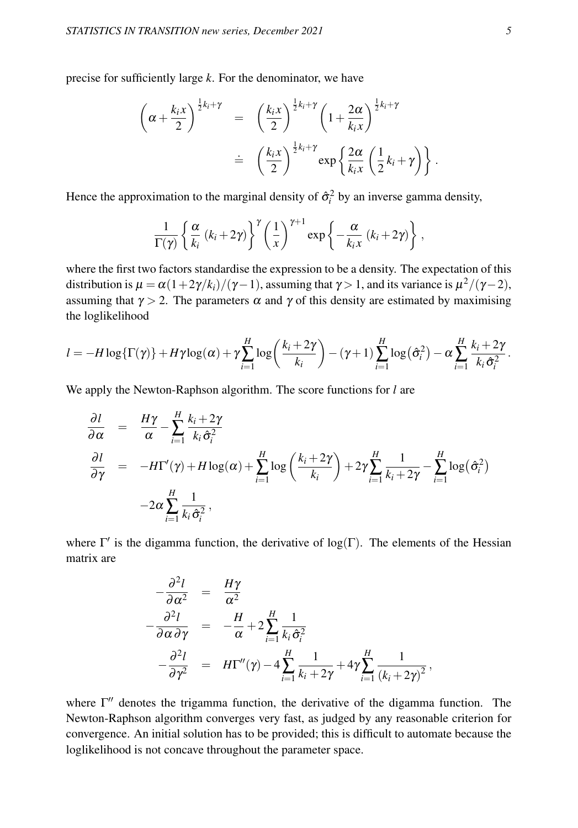precise for sufficiently large *k*. For the denominator, we have

$$
\begin{array}{rcl}\n\left(\alpha + \frac{k_i x}{2}\right)^{\frac{1}{2}k_i + \gamma} & = & \left(\frac{k_i x}{2}\right)^{\frac{1}{2}k_i + \gamma} \left(1 + \frac{2\alpha}{k_i x}\right)^{\frac{1}{2}k_i + \gamma} \\
& \doteq & \left(\frac{k_i x}{2}\right)^{\frac{1}{2}k_i + \gamma} \exp\left\{\frac{2\alpha}{k_i x}\left(\frac{1}{2}k_i + \gamma\right)\right\}.\n\end{array}
$$

Hence the approximation to the marginal density of  $\hat{\sigma}_i^2$  by an inverse gamma density,

$$
\frac{1}{\Gamma(\gamma)}\left\{\frac{\alpha}{k_i}\left(k_i+2\gamma\right)\right\}^{\gamma}\left(\frac{1}{x}\right)^{\gamma+1}\exp\left\{-\frac{\alpha}{k_ix}\left(k_i+2\gamma\right)\right\},\,
$$

where the first two factors standardise the expression to be a density. The expectation of this distribution is  $\mu=\alpha(1+2\gamma/k_i)/(\gamma-1),$  assuming that  $\gamma>1,$  and its variance is  $\mu^2/(\gamma-2),$ assuming that  $\gamma > 2$ . The parameters  $\alpha$  and  $\gamma$  of this density are estimated by maximising the loglikelihood

$$
l = -H \log \{\Gamma(\gamma)\} + H\gamma \log(\alpha) + \gamma \sum_{i=1}^{H} \log \left(\frac{k_i + 2\gamma}{k_i}\right) - (\gamma + 1) \sum_{i=1}^{H} \log(\hat{\sigma}_i^2) - \alpha \sum_{i=1}^{H} \frac{k_i + 2\gamma}{k_i \hat{\sigma}_i^2}.
$$

We apply the Newton-Raphson algorithm. The score functions for *l* are

$$
\frac{\partial l}{\partial \alpha} = \frac{H\gamma}{\alpha} - \sum_{i=1}^{H} \frac{k_i + 2\gamma}{k_i \hat{\sigma}_i^2}
$$
\n
$$
\frac{\partial l}{\partial \gamma} = -H\Gamma'(\gamma) + H\log(\alpha) + \sum_{i=1}^{H} \log\left(\frac{k_i + 2\gamma}{k_i}\right) + 2\gamma \sum_{i=1}^{H} \frac{1}{k_i + 2\gamma} - \sum_{i=1}^{H} \log(\hat{\sigma}_i^2)
$$
\n
$$
-2\alpha \sum_{i=1}^{H} \frac{1}{k_i \hat{\sigma}_i^2},
$$

where  $\Gamma'$  is the digamma function, the derivative of log( $\Gamma$ ). The elements of the Hessian matrix are

$$
-\frac{\partial^2 l}{\partial \alpha^2} = \frac{H\gamma}{\alpha^2}
$$
  

$$
-\frac{\partial^2 l}{\partial \alpha \partial \gamma} = -\frac{H}{\alpha} + 2\sum_{i=1}^H \frac{1}{k_i \hat{\sigma}_i^2}
$$
  

$$
-\frac{\partial^2 l}{\partial \gamma^2} = H\Gamma''(\gamma) - 4\sum_{i=1}^H \frac{1}{k_i + 2\gamma} + 4\gamma \sum_{i=1}^H \frac{1}{(k_i + 2\gamma)^2},
$$

where  $\Gamma''$  denotes the trigamma function, the derivative of the digamma function. The Newton-Raphson algorithm converges very fast, as judged by any reasonable criterion for convergence. An initial solution has to be provided; this is difficult to automate because the loglikelihood is not concave throughout the parameter space.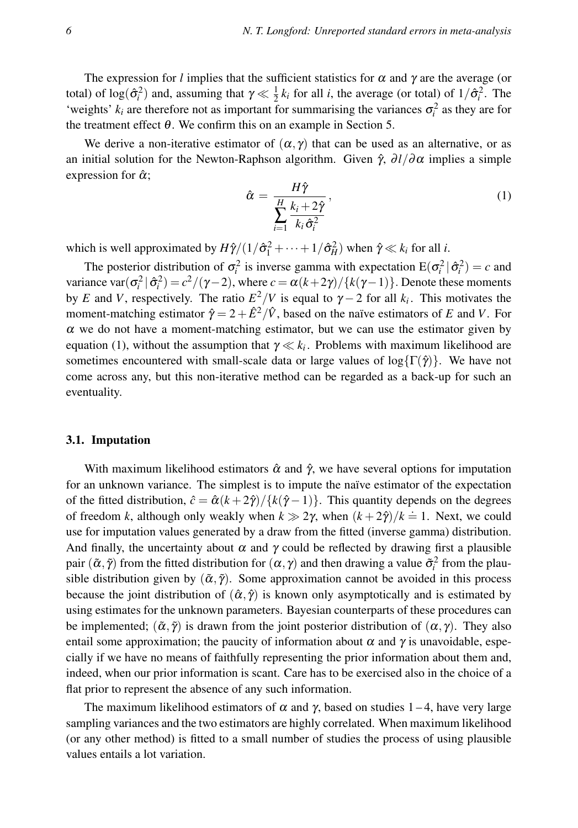The expression for *l* implies that the sufficient statistics for  $\alpha$  and  $\gamma$  are the average (or total) of  $log(\hat{\sigma}_i^2)$  and, assuming that  $\gamma \ll \frac{1}{2}k_i$  for all *i*, the average (or total) of  $1/\hat{\sigma}_i^2$ . The 'weights'  $k_i$  are therefore not as important for summarising the variances  $\sigma_i^2$  as they are for the treatment effect  $\theta$ . We confirm this on an example in Section 5.

We derive a non-iterative estimator of  $(\alpha, \gamma)$  that can be used as an alternative, or as an initial solution for the Newton-Raphson algorithm. Given  $\hat{\gamma}$ ,  $\partial l/\partial \alpha$  implies a simple expression for  $\hat{\alpha}$ ;

$$
\hat{\alpha} = \frac{H\hat{\gamma}}{\sum_{i=1}^{H} \frac{k_i + 2\hat{\gamma}}{k_i \hat{\sigma}_i^2}},\tag{1}
$$

which is well approximated by  $H\hat{\gamma}/(1/\hat{\sigma}_1^2 + \cdots + 1/\hat{\sigma}_H^2)$  when  $\hat{\gamma} \ll k_i$  for all *i*.

The posterior distribution of  $\sigma_i^2$  is inverse gamma with expectation  $E(\sigma_i^2 | \hat{\sigma}_i^2) = c$  and variance  $\text{var}(\sigma_i^2 | \hat{\sigma}_i^2) = c^2/(\gamma - 2)$ , where  $c = \alpha(k + 2\gamma)/\{k(\gamma - 1)\}$ . Denote these moments by *E* and *V*, respectively. The ratio  $E^2/V$  is equal to  $\gamma - 2$  for all  $k_i$ . This motivates the moment-matching estimator  $\hat{\gamma} = 2 + \hat{E}^2/\hat{V}$ , based on the naïve estimators of *E* and *V*. For  $\alpha$  we do not have a moment-matching estimator, but we can use the estimator given by equation (1), without the assumption that  $\gamma \ll k_i$ . Problems with maximum likelihood are sometimes encountered with small-scale data or large values of log{ $\Gamma(\hat{\gamma})$ }. We have not come across any, but this non-iterative method can be regarded as a back-up for such an eventuality.

#### 3.1. Imputation

With maximum likelihood estimators  $\hat{\alpha}$  and  $\hat{\gamma}$ , we have several options for imputation for an unknown variance. The simplest is to impute the naïve estimator of the expectation of the fitted distribution,  $\hat{c} = \hat{\alpha}(k+2\hat{\gamma})/\{\hat{k}(\hat{\gamma}-1)\}\.$  This quantity depends on the degrees of freedom *k*, although only weakly when  $k \gg 2\gamma$ , when  $(k+2\hat{\gamma})/k = 1$ . Next, we could use for imputation values generated by a draw from the fitted (inverse gamma) distribution. And finally, the uncertainty about  $\alpha$  and  $\gamma$  could be reflected by drawing first a plausible pair  $(\tilde{\alpha}, \tilde{\gamma})$  from the fitted distribution for  $(\alpha, \gamma)$  and then drawing a value  $\tilde{\sigma}_i^2$  from the plausible distribution given by  $(\tilde{\alpha}, \tilde{\gamma})$ . Some approximation cannot be avoided in this process because the joint distribution of  $(\hat{\alpha}, \hat{\gamma})$  is known only asymptotically and is estimated by using estimates for the unknown parameters. Bayesian counterparts of these procedures can be implemented;  $(\tilde{\alpha}, \tilde{\gamma})$  is drawn from the joint posterior distribution of  $(\alpha, \gamma)$ . They also entail some approximation; the paucity of information about  $\alpha$  and  $\gamma$  is unavoidable, especially if we have no means of faithfully representing the prior information about them and, indeed, when our prior information is scant. Care has to be exercised also in the choice of a flat prior to represent the absence of any such information.

The maximum likelihood estimators of  $\alpha$  and  $\gamma$ , based on studies 1–4, have very large sampling variances and the two estimators are highly correlated. When maximum likelihood (or any other method) is fitted to a small number of studies the process of using plausible values entails a lot variation.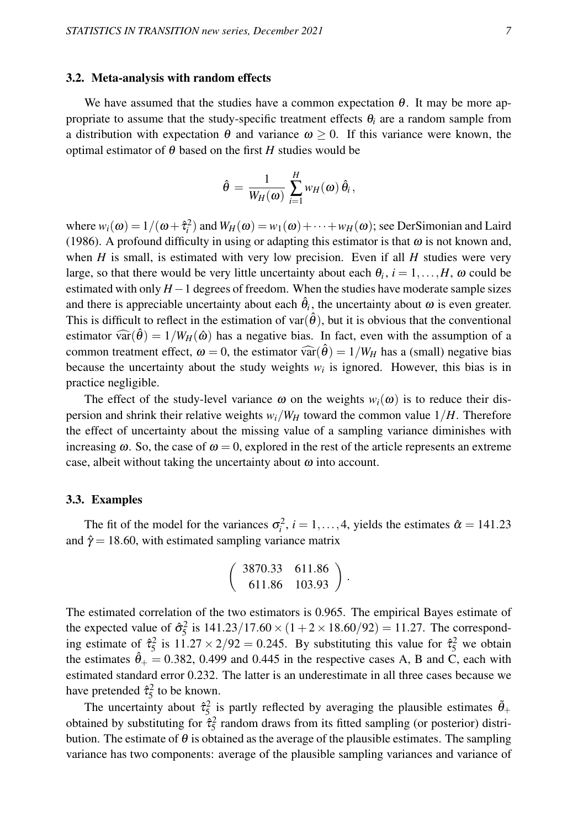#### 3.2. Meta-analysis with random effects

We have assumed that the studies have a common expectation  $\theta$ . It may be more appropriate to assume that the study-specific treatment effects  $\theta_i$  are a random sample from a distribution with expectation  $\theta$  and variance  $\omega > 0$ . If this variance were known, the optimal estimator of  $\theta$  based on the first *H* studies would be

$$
\hat{\theta} = \frac{1}{W_H(\omega)} \sum_{i=1}^H w_H(\omega) \hat{\theta}_i,
$$

where  $w_i(\omega) = 1/(\omega + \hat{\tau}_i^2)$  and  $W_H(\omega) = w_1(\omega) + \cdots + w_H(\omega)$ ; see DerSimonian and Laird (1986). A profound difficulty in using or adapting this estimator is that  $\omega$  is not known and, when  $H$  is small, is estimated with very low precision. Even if all  $H$  studies were very large, so that there would be very little uncertainty about each  $\theta_i$ ,  $i = 1, \ldots, H$ ,  $\omega$  could be estimated with only *H*−1 degrees of freedom. When the studies have moderate sample sizes and there is appreciable uncertainty about each  $\hat{\theta}_i$ , the uncertainty about  $\omega$  is even greater. This is difficult to reflect in the estimation of var $(\hat{\theta})$ , but it is obvious that the conventional estimator  $\widehat{\text{var}}(\widehat{\theta}) = 1/W_H(\widehat{\omega})$  has a negative bias. In fact, even with the assumption of a common treatment effect,  $\omega = 0$ , the estimator  $\widehat{\text{var}}(\widehat{\theta}) = 1/W_H$  has a (small) negative bias because the uncertainty about the study weights  $w_i$  is ignored. However, this bias is in practice negligible.

The effect of the study-level variance  $\omega$  on the weights  $w_i(\omega)$  is to reduce their dispersion and shrink their relative weights  $w_i/W_H$  toward the common value  $1/H$ . Therefore the effect of uncertainty about the missing value of a sampling variance diminishes with increasing  $\omega$ . So, the case of  $\omega = 0$ , explored in the rest of the article represents an extreme case, albeit without taking the uncertainty about  $\omega$  into account.

#### 3.3. Examples

The fit of the model for the variances  $\sigma_i^2$ ,  $i = 1, ..., 4$ , yields the estimates  $\hat{\alpha} = 141.23$ and  $\hat{\gamma}$  = 18.60, with estimated sampling variance matrix

$$
\left(\begin{array}{cc} 3870.33 & 611.86 \\ 611.86 & 103.93 \end{array}\right).
$$

The estimated correlation of the two estimators is 0.965. The empirical Bayes estimate of the expected value of  $\hat{\sigma}_{5}^{2}$  is  $141.23/17.60 \times (1 + 2 \times 18.60/92) = 11.27$ . The corresponding estimate of  $\hat{\tau}_5^2$  is  $11.27 \times 2/92 = 0.245$ . By substituting this value for  $\hat{\tau}_5^2$  we obtain the estimates  $\hat{\theta}_+ = 0.382$ , 0.499 and 0.445 in the respective cases A, B and C, each with estimated standard error 0.232. The latter is an underestimate in all three cases because we have pretended  $\hat{\tau}_5^2$  to be known.

The uncertainty about  $\hat{\tau}_5^2$  is partly reflected by averaging the plausible estimates  $\tilde{\theta}_+$ obtained by substituting for  $\hat{\tau}_5^2$  random draws from its fitted sampling (or posterior) distribution. The estimate of  $\theta$  is obtained as the average of the plausible estimates. The sampling variance has two components: average of the plausible sampling variances and variance of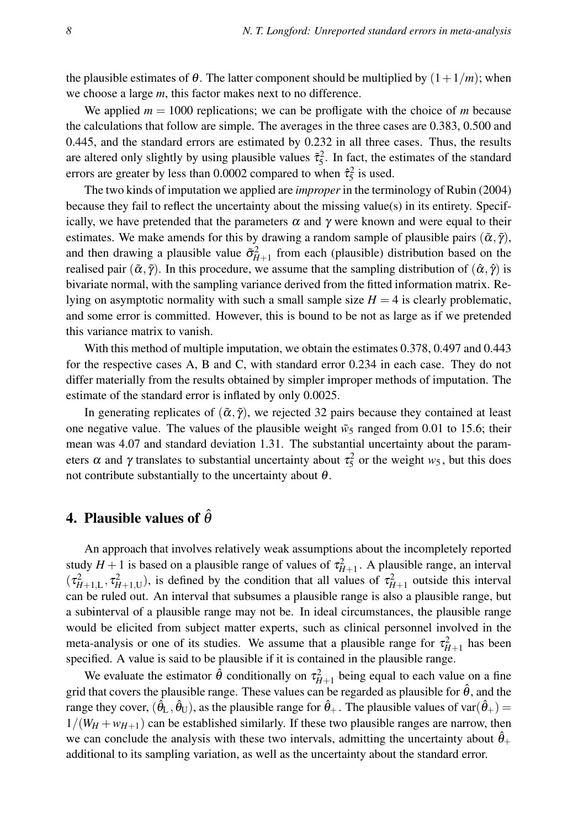the plausible estimates of  $\theta$ . The latter component should be multiplied by  $(1+1/m)$ ; when we choose a large *m*, this factor makes next to no difference.

We applied  $m = 1000$  replications; we can be profligate with the choice of *m* because the calculations that follow are simple. The averages in the three cases are 0.383, 0.500 and 0.445, and the standard errors are estimated by 0.232 in all three cases. Thus, the results are altered only slightly by using plausible values  $\tilde{\tau}_5^2$ . In fact, the estimates of the standard errors are greater by less than 0.0002 compared to when  $\hat{\tau}_5^2$  is used.

The two kinds of imputation we applied are *improper*in the terminology of Rubin (2004) because they fail to reflect the uncertainty about the missing value(s) in its entirety. Specifically, we have pretended that the parameters  $\alpha$  and  $\gamma$  were known and were equal to their estimates. We make amends for this by drawing a random sample of plausible pairs  $(\tilde{\alpha}, \tilde{\gamma})$ , and then drawing a plausible value  $\tilde{\sigma}_{H+1}^2$  from each (plausible) distribution based on the realised pair  $(\tilde{\alpha}, \tilde{\gamma})$ . In this procedure, we assume that the sampling distribution of  $(\hat{\alpha}, \hat{\gamma})$  is bivariate normal, with the sampling variance derived from the fitted information matrix. Relying on asymptotic normality with such a small sample size  $H = 4$  is clearly problematic, and some error is committed. However, this is bound to be not as large as if we pretended this variance matrix to vanish.

With this method of multiple imputation, we obtain the estimates 0.378, 0.497 and 0.443 for the respective cases A, B and C, with standard error 0.234 in each case. They do not differ materially from the results obtained by simpler improper methods of imputation. The estimate of the standard error is inflated by only 0.0025.

In generating replicates of  $(\tilde{\alpha}, \tilde{\gamma})$ , we rejected 32 pairs because they contained at least one negative value. The values of the plausible weight  $\tilde{w}_5$  ranged from 0.01 to 15.6; their mean was 4.07 and standard deviation 1.31. The substantial uncertainty about the parameters  $\alpha$  and  $\gamma$  translates to substantial uncertainty about  $\tau_5^2$  or the weight  $w_5$ , but this does not contribute substantially to the uncertainty about  $\theta$ .

# 4. Plausible values of  $\hat{\theta}$

An approach that involves relatively weak assumptions about the incompletely reported study  $H + 1$  is based on a plausible range of values of  $\tau_{H+1}^2$ . A plausible range, an interval  $(\tau_{H+1,L}^2, \tau_{H+1,U}^2)$ , is defined by the condition that all values of  $\tau_{H+1}^2$  outside this interval can be ruled out. An interval that subsumes a plausible range is also a plausible range, but a subinterval of a plausible range may not be. In ideal circumstances, the plausible range would be elicited from subject matter experts, such as clinical personnel involved in the meta-analysis or one of its studies. We assume that a plausible range for  $\tau_{H+1}^2$  has been specified. A value is said to be plausible if it is contained in the plausible range.

We evaluate the estimator  $\hat{\theta}$  conditionally on  $\tau_{H+1}^2$  being equal to each value on a fine grid that covers the plausible range. These values can be regarded as plausible for  $\hat{\theta}$ , and the range they cover,  $(\hat{\theta}_L,\hat{\theta}_U)$ , as the plausible range for  $\hat{\theta}_+$  . The plausible values of var $(\hat{\theta}_+)=$  $1/(W_H + w_{H+1})$  can be established similarly. If these two plausible ranges are narrow, then we can conclude the analysis with these two intervals, admitting the uncertainty about  $\hat{\theta}_+$ additional to its sampling variation, as well as the uncertainty about the standard error.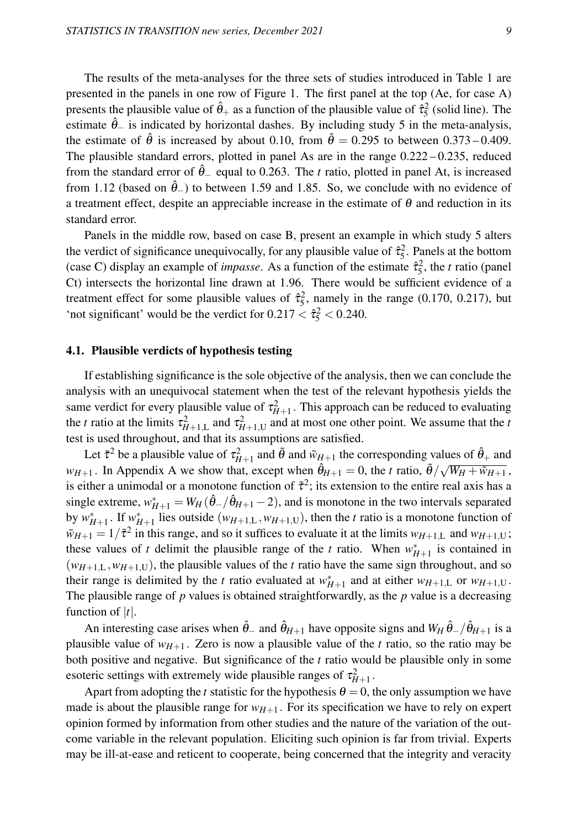The results of the meta-analyses for the three sets of studies introduced in Table 1 are presented in the panels in one row of Figure 1. The first panel at the top (Ae, for case A) presents the plausible value of  $\hat{\theta}_+$  as a function of the plausible value of  $\hat{\tau}_5^2$  (solid line). The estimate  $\hat{\theta}_-$  is indicated by horizontal dashes. By including study 5 in the meta-analysis, the estimate of  $\hat{\theta}$  is increased by about 0.10, from  $\hat{\theta} = 0.295$  to between 0.373 – 0.409. The plausible standard errors, plotted in panel As are in the range  $0.222 - 0.235$ , reduced from the standard error of  $\hat{\theta}_-$  equal to 0.263. The *t* ratio, plotted in panel At, is increased from 1.12 (based on  $\hat{\theta}_-$ ) to between 1.59 and 1.85. So, we conclude with no evidence of a treatment effect, despite an appreciable increase in the estimate of  $\theta$  and reduction in its standard error.

Panels in the middle row, based on case B, present an example in which study 5 alters the verdict of significance unequivocally, for any plausible value of  $\hat{\tau}_5^2$ . Panels at the bottom (case C) display an example of *impasse*. As a function of the estimate  $\hat{\tau}_5^2$ , the *t* ratio (panel Ct) intersects the horizontal line drawn at 1.96. There would be sufficient evidence of a treatment effect for some plausible values of  $\hat{\tau}_{5}^{2}$ , namely in the range (0.170, 0.217), but 'not significant' would be the verdict for  $0.217 < \hat{\tau}_5^2 < 0.240$ .

#### 4.1. Plausible verdicts of hypothesis testing

If establishing significance is the sole objective of the analysis, then we can conclude the analysis with an unequivocal statement when the test of the relevant hypothesis yields the same verdict for every plausible value of  $\tau_{H+1}^2$ . This approach can be reduced to evaluating the *t* ratio at the limits  $\tau_{H+1,L}^2$  and  $\tau_{H+1,U}^2$  and at most one other point. We assume that the *t* test is used throughout, and that its assumptions are satisfied.

Let  $\tilde{\tau}^2$  be a plausible value of  $\tau_{H+1}^2$  and  $\tilde{\theta}$  and  $\tilde{w}_{H+1}$  the corresponding values of  $\hat{\theta}_+$  and *w<sub>H+1</sub>*. In Appendix A we show that, except when  $\hat{\theta}_{H+1} = 0$ , the *t* ratio,  $\tilde{\theta}/\sqrt{W_H + \tilde{w}_{H+1}}$ , is either a unimodal or a monotone function of  $\tilde{\tau}^2$ ; its extension to the entire real axis has a single extreme,  $w_{H+1}^* = W_H(\hat{\theta}_-/\hat{\theta}_{H+1} - 2)$ , and is monotone in the two intervals separated by  $w_{H+1}^*$ . If  $w_{H+1}^*$  lies outside  $(w_{H+1,L}, w_{H+1,U})$ , then the *t* ratio is a monotone function of  $\tilde{w}_{H+1} = 1/\tilde{\tau}^2$  in this range, and so it suffices to evaluate it at the limits  $w_{H+1,L}$  and  $w_{H+1,U}$ ; these values of *t* delimit the plausible range of the *t* ratio. When  $w_{H+1}^*$  is contained in  $(w_{H+1,L}, w_{H+1,U})$ , the plausible values of the *t* ratio have the same sign throughout, and so their range is delimited by the *t* ratio evaluated at  $w_{H+1}^*$  and at either  $w_{H+1,L}$  or  $w_{H+1,U}$ . The plausible range of *p* values is obtained straightforwardly, as the *p* value is a decreasing function of  $|t|$ .

An interesting case arises when  $\hat{\theta}_-$  and  $\hat{\theta}_{H+1}$  have opposite signs and  $W_H \hat{\theta}_- / \hat{\theta}_{H+1}$  is a plausible value of  $w_{H+1}$ . Zero is now a plausible value of the *t* ratio, so the ratio may be both positive and negative. But significance of the *t* ratio would be plausible only in some esoteric settings with extremely wide plausible ranges of  $\tau_{H+1}^2$ .

Apart from adopting the *t* statistic for the hypothesis  $\theta = 0$ , the only assumption we have made is about the plausible range for  $w_{H+1}$ . For its specification we have to rely on expert opinion formed by information from other studies and the nature of the variation of the outcome variable in the relevant population. Eliciting such opinion is far from trivial. Experts may be ill-at-ease and reticent to cooperate, being concerned that the integrity and veracity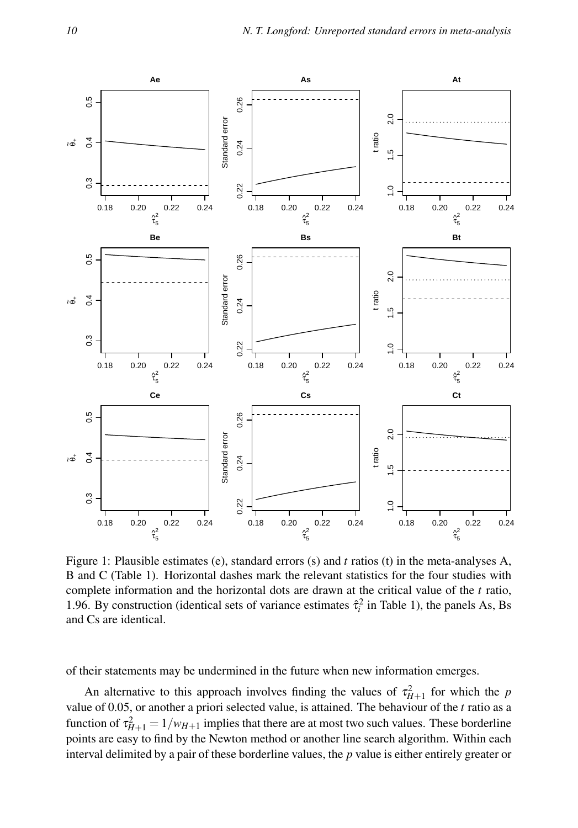

Figure 1: Plausible estimates (e), standard errors (s) and *t* ratios (t) in the meta-analyses A, B and C (Table 1). Horizontal dashes mark the relevant statistics for the four studies with complete information and the horizontal dots are drawn at the critical value of the *t* ratio, 1.96. By construction (identical sets of variance estimates  $\hat{\tau}_i^2$  in Table 1), the panels As, Bs and Cs are identical.

of their statements may be undermined in the future when new information emerges.

An alternative to this approach involves finding the values of  $\tau_{H+1}^2$  for which the *p* value of 0.05, or another a priori selected value, is attained. The behaviour of the *t* ratio as a function of  $\tau_{H+1}^2 = 1/w_{H+1}$  implies that there are at most two such values. These borderline points are easy to find by the Newton method or another line search algorithm. Within each interval delimited by a pair of these borderline values, the *p* value is either entirely greater or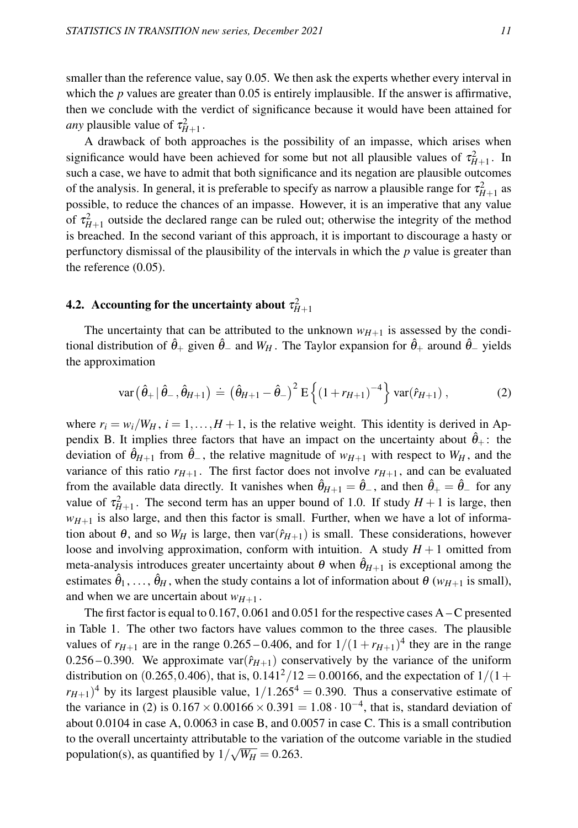smaller than the reference value, say 0.05. We then ask the experts whether every interval in which the *p* values are greater than 0.05 is entirely implausible. If the answer is affirmative, then we conclude with the verdict of significance because it would have been attained for *any* plausible value of  $\tau_{H+1}^2$ .

A drawback of both approaches is the possibility of an impasse, which arises when significance would have been achieved for some but not all plausible values of  $\tau_{H+1}^2$ . In such a case, we have to admit that both significance and its negation are plausible outcomes of the analysis. In general, it is preferable to specify as narrow a plausible range for  $\tau_{H+1}^2$  as possible, to reduce the chances of an impasse. However, it is an imperative that any value of  $\tau_{H+1}^2$  outside the declared range can be ruled out; otherwise the integrity of the method is breached. In the second variant of this approach, it is important to discourage a hasty or perfunctory dismissal of the plausibility of the intervals in which the *p* value is greater than the reference (0.05).

# **4.2.** Accounting for the uncertainty about  $\tau^2_{H+1}$

The uncertainty that can be attributed to the unknown  $w_{H+1}$  is assessed by the conditional distribution of  $\hat{\theta}_+$  given  $\hat{\theta}_-$  and  $W_H$ . The Taylor expansion for  $\hat{\theta}_+$  around  $\hat{\theta}_-$  yields the approximation

$$
\text{var}(\hat{\theta}_+ | \hat{\theta}_-, \hat{\theta}_{H+1}) \doteq (\hat{\theta}_{H+1} - \hat{\theta}_-)^2 \, \text{E}\left\{ (1 + r_{H+1})^{-4} \right\} \, \text{var}(\hat{r}_{H+1}), \tag{2}
$$

where  $r_i = w_i/W_H$ ,  $i = 1,...,H+1$ , is the relative weight. This identity is derived in Appendix B. It implies three factors that have an impact on the uncertainty about  $\hat{\theta}_+$ : the deviation of  $\hat{\theta}_{H+1}$  from  $\hat{\theta}_{-}$ , the relative magnitude of  $w_{H+1}$  with respect to  $W_H$ , and the variance of this ratio  $r_{H+1}$ . The first factor does not involve  $r_{H+1}$ , and can be evaluated from the available data directly. It vanishes when  $\hat{\theta}_{H+1} = \hat{\theta}_-$ , and then  $\hat{\theta}_+ = \hat{\theta}_-$  for any value of  $\tau_{H+1}^2$ . The second term has an upper bound of 1.0. If study  $H + 1$  is large, then  $w_{H+1}$  is also large, and then this factor is small. Further, when we have a lot of information about  $\theta$ , and so  $W_H$  is large, then var $(\hat{r}_{H+1})$  is small. These considerations, however loose and involving approximation, conform with intuition. A study  $H + 1$  omitted from meta-analysis introduces greater uncertainty about  $\theta$  when  $\hat{\theta}_{H+1}$  is exceptional among the estimates  $\hat{\theta}_1, \ldots, \hat{\theta}_H$  , when the study contains a lot of information about  $\theta$  ( $w_{H+1}$  is small), and when we are uncertain about  $w_{H+1}$ .

The first factor is equal to  $0.167$ ,  $0.061$  and  $0.051$  for the respective cases A – C presented in Table 1. The other two factors have values common to the three cases. The plausible values of  $r_{H+1}$  are in the range 0.265 – 0.406, and for  $1/(1 + r_{H+1})^4$  they are in the range 0.256 – 0.390. We approximate var $(\hat{r}_{H+1})$  conservatively by the variance of the uniform distribution on (0.265,0.406), that is,  $0.141^{2}/12 = 0.00166$ , and the expectation of  $1/(1 +$  $(r_{H+1})^4$  by its largest plausible value,  $1/1.265^4 = 0.390$ . Thus a conservative estimate of the variance in (2) is  $0.167 \times 0.00166 \times 0.391 = 1.08 \cdot 10^{-4}$ , that is, standard deviation of about 0.0104 in case A, 0.0063 in case B, and 0.0057 in case C. This is a small contribution to the overall uncertainty attributable to the variation of the outcome variable in the studied population(s), as quantified by  $1/\sqrt{W_H} = 0.263$ .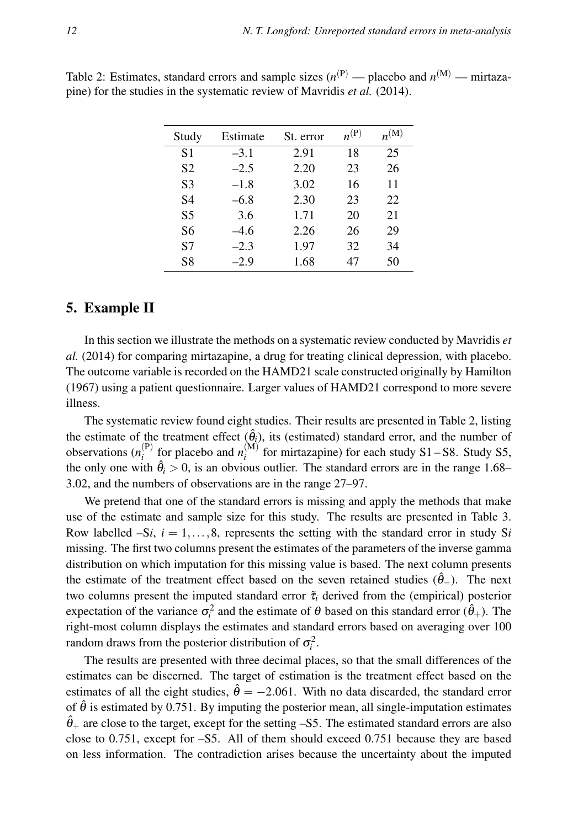| Study | Estimate | St. error | $n^{(P)}$ | $n^{(M)}$ |
|-------|----------|-----------|-----------|-----------|
| S1    | $-3.1$   | 2.91      | 18        | 25        |
| S2    | $-2.5$   | 2.20      | 23        | 26        |
| S3    | $-1.8$   | 3.02      | 16        | 11        |
| S4    | $-6.8$   | 2.30      | 23        | 22        |
| S5    | 3.6      | 1.71      | 20        | 21        |
| S6    | $-4.6$   | 2.26      | 26        | 29        |
| S7    | $-2.3$   | 1.97      | 32        | 34        |
| S8    | $-2.9$   | 1.68      | 47        | 50        |

Table 2: Estimates, standard errors and sample sizes  $(n^{(P)} -$  placebo and  $n^{(M)} -$  mirtazapine) for the studies in the systematic review of Mavridis *et al.* (2014).

### 5. Example II

In this section we illustrate the methods on a systematic review conducted by Mavridis *et al.* (2014) for comparing mirtazapine, a drug for treating clinical depression, with placebo. The outcome variable is recorded on the HAMD21 scale constructed originally by Hamilton (1967) using a patient questionnaire. Larger values of HAMD21 correspond to more severe illness.

The systematic review found eight studies. Their results are presented in Table 2, listing the estimate of the treatment effect  $(\hat{\theta}_i)$ , its (estimated) standard error, and the number of observations  $(n_i^{(P)}$  $\binom{(\mathbf{P})}{i}$  for placebo and  $n_i^{(\mathbf{M})}$  $i_i^{(w)}$  for mirtazapine) for each study S1 – S8. Study S5, the only one with  $\hat{\theta}_i > 0$ , is an obvious outlier. The standard errors are in the range 1.68– 3.02, and the numbers of observations are in the range 27–97.

We pretend that one of the standard errors is missing and apply the methods that make use of the estimate and sample size for this study. The results are presented in Table 3. Row labelled  $-Si$ ,  $i = 1, \ldots, 8$ , represents the setting with the standard error in study S*i* missing. The first two columns present the estimates of the parameters of the inverse gamma distribution on which imputation for this missing value is based. The next column presents the estimate of the treatment effect based on the seven retained studies ( $\hat{\theta}_$ two columns present the imputed standard error  $\tilde{\tau}_i$  derived from the (empirical) posterior expectation of the variance  $\sigma_i^2$  and the estimate of  $\theta$  based on this standard error  $(\hat{\theta}_+)$ . The right-most column displays the estimates and standard errors based on averaging over 100 random draws from the posterior distribution of  $\sigma_i^2$ .

The results are presented with three decimal places, so that the small differences of the estimates can be discerned. The target of estimation is the treatment effect based on the estimates of all the eight studies,  $\hat{\theta} = -2.061$ . With no data discarded, the standard error of  $\hat{\theta}$  is estimated by 0.751. By imputing the posterior mean, all single-imputation estimates  $\hat{\theta}_+$  are close to the target, except for the setting –S5. The estimated standard errors are also close to 0.751, except for –S5. All of them should exceed 0.751 because they are based on less information. The contradiction arises because the uncertainty about the imputed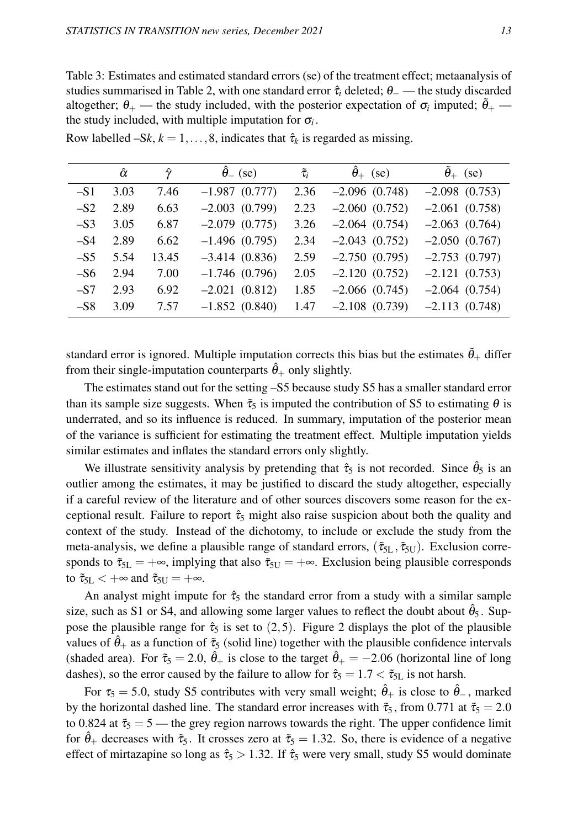Table 3: Estimates and estimated standard errors (se) of the treatment effect; metaanalysis of studies summarised in Table 2, with one standard error  $\hat{\tau}_i$  deleted;  $\theta$  — the study discarded altogether;  $\theta_+$  — the study included, with the posterior expectation of  $\sigma_i$  imputed;  $\tilde{\theta}_+$  the study included, with multiple imputation for  $\sigma_i$ .

|       | $\hat{\alpha}$ | ŷ     | $\hat{\theta}_-$ (se) | $\tilde{\tau}_i$ | $\hat{\theta}_+$ (se) | $\tilde{\theta}_+$ (se) |
|-------|----------------|-------|-----------------------|------------------|-----------------------|-------------------------|
| $-S1$ | 3.03           | 7.46  | $-1.987(0.777)$       | 2.36             | $-2.096(0.748)$       | $-2.098(0.753)$         |
| $-S2$ | 2.89           | 6.63  | $-2.003$ $(0.799)$    | 2.23             | $-2.060(0.752)$       | $-2.061(0.758)$         |
| $-S3$ | 3.05           | 6.87  | $-2.079(0.775)$       | 3.26             | $-2.064(0.754)$       | $-2.063(0.764)$         |
| $-S4$ | 2.89           | 6.62  | $-1.496(0.795)$       | 2.34             | $-2.043(0.752)$       | $-2.050(0.767)$         |
| $-S5$ | 5.54           | 13.45 | $-3.414(0.836)$       | 2.59             | $-2.750(0.795)$       | $-2.753(0.797)$         |
| $-S6$ | 2.94           | 7.00  | $-1.746(0.796)$       | 2.05             | $-2.120(0.752)$       | $-2.121(0.753)$         |
| $-S7$ | 2.93           | 6.92  | $-2.021(0.812)$       | 1.85             | $-2.066(0.745)$       | $-2.064(0.754)$         |
| $-S8$ | 3.09           | 7.57  | $-1.852(0.840)$       | 1.47             | $-2.108$ $(0.739)$    | $-2.113(0.748)$         |

Row labelled  $-Sk$ ,  $k = 1, ..., 8$ , indicates that  $\hat{\tau}_k$  is regarded as missing.

standard error is ignored. Multiple imputation corrects this bias but the estimates  $\hat{\theta}_+$  differ from their single-imputation counterparts  $\hat{\theta}_+$  only slightly.

The estimates stand out for the setting –S5 because study S5 has a smaller standard error than its sample size suggests. When  $\tilde{\tau}_5$  is imputed the contribution of S5 to estimating  $\theta$  is underrated, and so its influence is reduced. In summary, imputation of the posterior mean of the variance is sufficient for estimating the treatment effect. Multiple imputation yields similar estimates and inflates the standard errors only slightly.

We illustrate sensitivity analysis by pretending that  $\hat{\tau}_5$  is not recorded. Since  $\hat{\theta}_5$  is an outlier among the estimates, it may be justified to discard the study altogether, especially if a careful review of the literature and of other sources discovers some reason for the exceptional result. Failure to report  $\hat{\tau}_5$  might also raise suspicion about both the quality and context of the study. Instead of the dichotomy, to include or exclude the study from the meta-analysis, we define a plausible range of standard errors,  $(\tilde{\tau}_{5L}, \tilde{\tau}_{5U})$ . Exclusion corresponds to  $\tilde{\tau}_{5L} = +\infty$ , implying that also  $\tilde{\tau}_{5U} = +\infty$ . Exclusion being plausible corresponds to  $\tilde{\tau}_{5L} < +\infty$  and  $\tilde{\tau}_{5U} = +\infty$ .

An analyst might impute for  $\hat{\tau}_5$  the standard error from a study with a similar sample size, such as S1 or S4, and allowing some larger values to reflect the doubt about  $\hat{\theta}_5$ . Suppose the plausible range for  $\hat{\tau}_5$  is set to (2,5). Figure 2 displays the plot of the plausible values of  $\hat{\theta}_+$  as a function of  $\tilde{\tau}_5$  (solid line) together with the plausible confidence intervals (shaded area). For  $\tilde{\tau}_5 = 2.0$ ,  $\hat{\theta}_+$  is close to the target  $\hat{\theta}_+ = -2.06$  (horizontal line of long dashes), so the error caused by the failure to allow for  $\hat{\tau}_5 = 1.7 < \tilde{\tau}_{5L}$  is not harsh.

For  $\tau_5 = 5.0$ , study S5 contributes with very small weight;  $\hat{\theta}_+$  is close to  $\hat{\theta}_-$ , marked by the horizontal dashed line. The standard error increases with  $\tilde{\tau}_5$ , from 0.771 at  $\tilde{\tau}_5 = 2.0$ to 0.824 at  $\tilde{\tau}_5 = 5$  — the grey region narrows towards the right. The upper confidence limit for  $\hat{\theta}_+$  decreases with  $\tilde{\tau}_5$ . It crosses zero at  $\tilde{\tau}_5 = 1.32$ . So, there is evidence of a negative effect of mirtazapine so long as  $\hat{\tau}_5 > 1.32$ . If  $\hat{\tau}_5$  were very small, study S5 would dominate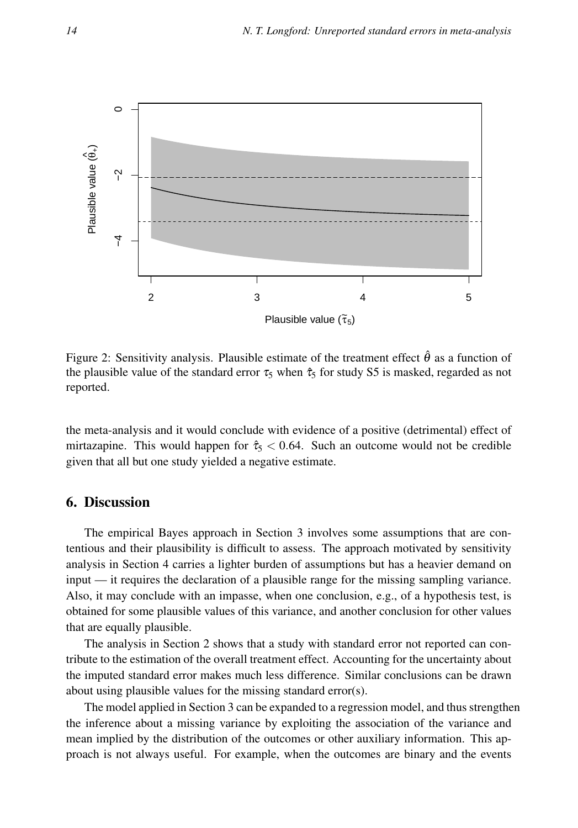

Figure 2: Sensitivity analysis. Plausible estimate of the treatment effect  $\hat{\theta}$  as a function of the plausible value of the standard error  $\tau_5$  when  $\hat{\tau}_5$  for study S5 is masked, regarded as not reported.

the meta-analysis and it would conclude with evidence of a positive (detrimental) effect of mirtazapine. This would happen for  $\hat{\tau}_5 < 0.64$ . Such an outcome would not be credible given that all but one study yielded a negative estimate.

#### 6. Discussion

The empirical Bayes approach in Section 3 involves some assumptions that are contentious and their plausibility is difficult to assess. The approach motivated by sensitivity analysis in Section 4 carries a lighter burden of assumptions but has a heavier demand on input — it requires the declaration of a plausible range for the missing sampling variance. Also, it may conclude with an impasse, when one conclusion, e.g., of a hypothesis test, is obtained for some plausible values of this variance, and another conclusion for other values that are equally plausible.

The analysis in Section 2 shows that a study with standard error not reported can contribute to the estimation of the overall treatment effect. Accounting for the uncertainty about the imputed standard error makes much less difference. Similar conclusions can be drawn about using plausible values for the missing standard error(s).

The model applied in Section 3 can be expanded to a regression model, and thus strengthen the inference about a missing variance by exploiting the association of the variance and mean implied by the distribution of the outcomes or other auxiliary information. This approach is not always useful. For example, when the outcomes are binary and the events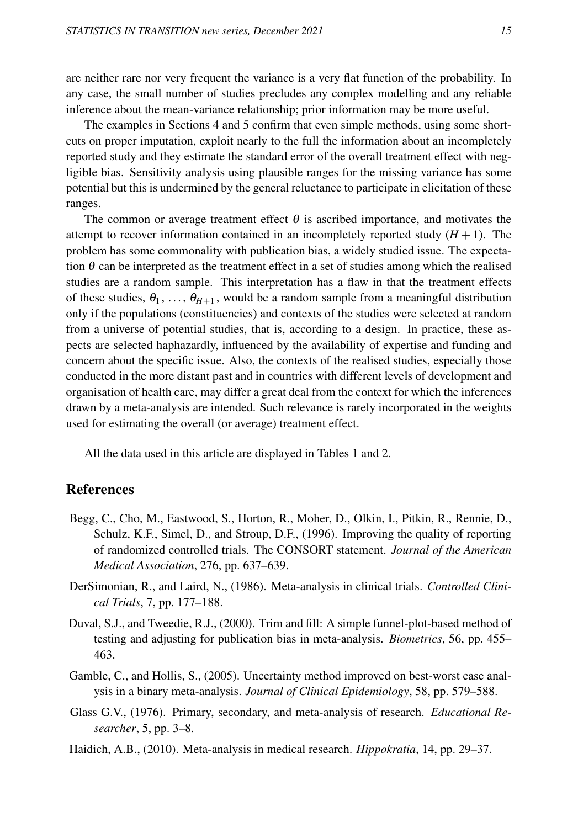are neither rare nor very frequent the variance is a very flat function of the probability. In any case, the small number of studies precludes any complex modelling and any reliable inference about the mean-variance relationship; prior information may be more useful.

The examples in Sections 4 and 5 confirm that even simple methods, using some shortcuts on proper imputation, exploit nearly to the full the information about an incompletely reported study and they estimate the standard error of the overall treatment effect with negligible bias. Sensitivity analysis using plausible ranges for the missing variance has some potential but this is undermined by the general reluctance to participate in elicitation of these ranges.

The common or average treatment effect  $\theta$  is ascribed importance, and motivates the attempt to recover information contained in an incompletely reported study  $(H + 1)$ . The problem has some commonality with publication bias, a widely studied issue. The expectation  $\theta$  can be interpreted as the treatment effect in a set of studies among which the realised studies are a random sample. This interpretation has a flaw in that the treatment effects of these studies,  $\theta_1, \ldots, \theta_{H+1}$ , would be a random sample from a meaningful distribution only if the populations (constituencies) and contexts of the studies were selected at random from a universe of potential studies, that is, according to a design. In practice, these aspects are selected haphazardly, influenced by the availability of expertise and funding and concern about the specific issue. Also, the contexts of the realised studies, especially those conducted in the more distant past and in countries with different levels of development and organisation of health care, may differ a great deal from the context for which the inferences drawn by a meta-analysis are intended. Such relevance is rarely incorporated in the weights used for estimating the overall (or average) treatment effect.

All the data used in this article are displayed in Tables 1 and 2.

### References

- Begg, C., Cho, M., Eastwood, S., Horton, R., Moher, D., Olkin, I., Pitkin, R., Rennie, D., Schulz, K.F., Simel, D., and Stroup, D.F., (1996). Improving the quality of reporting of randomized controlled trials. The CONSORT statement. *Journal of the American Medical Association*, 276, pp. 637–639.
- DerSimonian, R., and Laird, N., (1986). Meta-analysis in clinical trials. *Controlled Clinical Trials*, 7, pp. 177–188.
- Duval, S.J., and Tweedie, R.J., (2000). Trim and fill: A simple funnel-plot-based method of testing and adjusting for publication bias in meta-analysis. *Biometrics*, 56, pp. 455– 463.
- Gamble, C., and Hollis, S., (2005). Uncertainty method improved on best-worst case analysis in a binary meta-analysis. *Journal of Clinical Epidemiology*, 58, pp. 579–588.
- Glass G.V., (1976). Primary, secondary, and meta-analysis of research. *Educational Researcher*, 5, pp. 3–8.
- Haidich, A.B., (2010). Meta-analysis in medical research. *Hippokratia*, 14, pp. 29–37.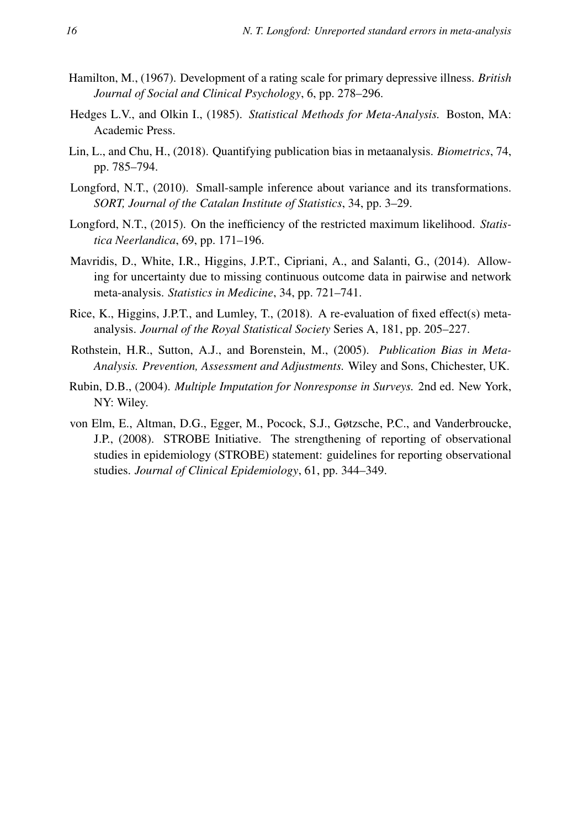- Hamilton, M., (1967). Development of a rating scale for primary depressive illness. *British Journal of Social and Clinical Psychology*, 6, pp. 278–296.
- Hedges L.V., and Olkin I., (1985). *Statistical Methods for Meta-Analysis.* Boston, MA: Academic Press.
- Lin, L., and Chu, H., (2018). Quantifying publication bias in metaanalysis. *Biometrics*, 74, pp. 785–794.
- Longford, N.T., (2010). Small-sample inference about variance and its transformations. *SORT, Journal of the Catalan Institute of Statistics*, 34, pp. 3–29.
- Longford, N.T., (2015). On the inefficiency of the restricted maximum likelihood. *Statistica Neerlandica*, 69, pp. 171–196.
- Mavridis, D., White, I.R., Higgins, J.P.T., Cipriani, A., and Salanti, G., (2014). Allowing for uncertainty due to missing continuous outcome data in pairwise and network meta-analysis. *Statistics in Medicine*, 34, pp. 721–741.
- Rice, K., Higgins, J.P.T., and Lumley, T., (2018). A re-evaluation of fixed effect(s) metaanalysis. *Journal of the Royal Statistical Society* Series A, 181, pp. 205–227.
- Rothstein, H.R., Sutton, A.J., and Borenstein, M., (2005). *Publication Bias in Meta-Analysis. Prevention, Assessment and Adjustments.* Wiley and Sons, Chichester, UK.
- Rubin, D.B., (2004). *Multiple Imputation for Nonresponse in Surveys.* 2nd ed. New York, NY: Wiley.
- von Elm, E., Altman, D.G., Egger, M., Pocock, S.J., Gøtzsche, P.C., and Vanderbroucke, J.P., (2008). STROBE Initiative. The strengthening of reporting of observational studies in epidemiology (STROBE) statement: guidelines for reporting observational studies. *Journal of Clinical Epidemiology*, 61, pp. 344–349.